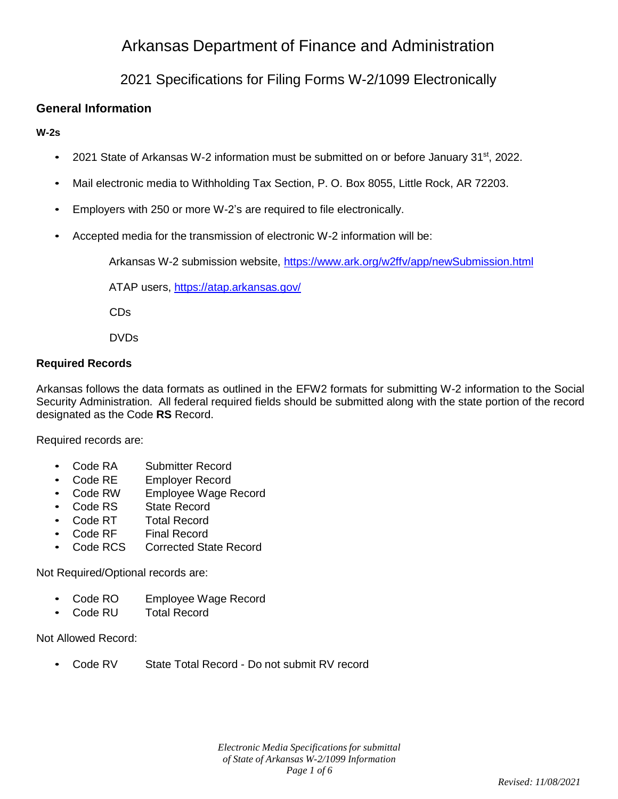# Arkansas Department of Finance and Administration

## 2021 Specifications for Filing Forms W-2/1099 Electronically

### **General Information**

#### **W-2s**

- 2021 State of Arkansas W-2 information must be submitted on or before January 31<sup>st</sup>, 2022.
- Mail electronic media to Withholding Tax Section, P. O. Box 8055, Little Rock, AR 72203.
- Employers with 250 or more W-2's are required to file electronically.
- Accepted media for the transmission of electronic W-2 information will be:

Arkansas W-2 submission website,<https://www.ark.org/w2ffv/app/newSubmission.html>

ATAP users,<https://atap.arkansas.gov/>

CDs

DVDs

#### **Required Records**

Arkansas follows the data formats as outlined in the EFW2 formats for submitting W-2 information to the Social Security Administration. All federal required fields should be submitted along with the state portion of the record designated as the Code **RS** Record.

Required records are:

- Code RA Submitter Record
- Code RE Employer Record
- Code RW Employee Wage Record
- Code RS State Record
- Code RT Total Record
- Code RF Final Record
- Code RCS Corrected State Record

Not Required/Optional records are:

- Code RO Employee Wage Record
- Code RU Total Record

Not Allowed Record:

• Code RV State Total Record - Do not submit RV record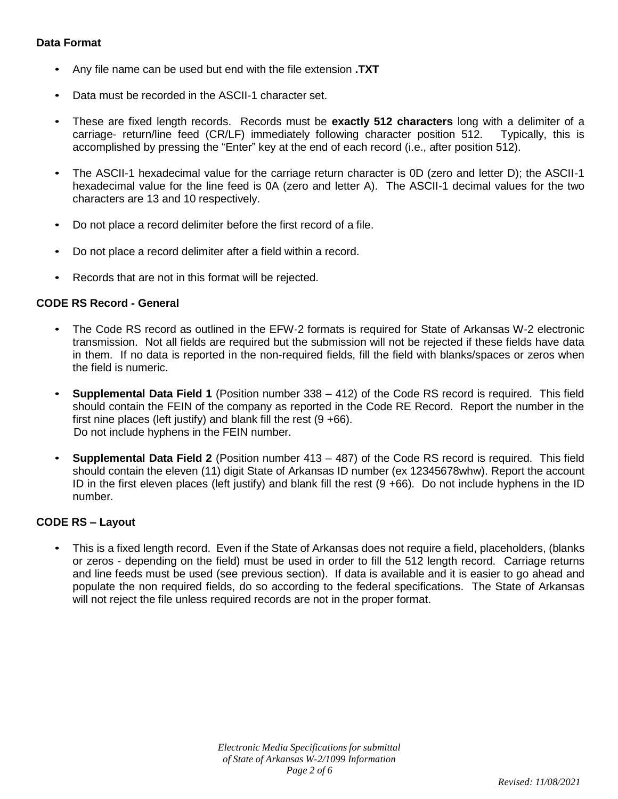#### **Data Format**

- Any file name can be used but end with the file extension **.TXT**
- Data must be recorded in the ASCII-1 character set.
- These are fixed length records. Records must be **exactly 512 characters** long with a delimiter of a carriage- return/line feed (CR/LF) immediately following character position 512. Typically, this is accomplished by pressing the "Enter" key at the end of each record (i.e., after position 512).
- The ASCII-1 hexadecimal value for the carriage return character is 0D (zero and letter D); the ASCII-1 hexadecimal value for the line feed is 0A (zero and letter A). The ASCII-1 decimal values for the two characters are 13 and 10 respectively.
- Do not place a record delimiter before the first record of a file.
- Do not place a record delimiter after a field within a record.
- Records that are not in this format will be rejected.

#### **CODE RS Record - General**

- The Code RS record as outlined in the EFW-2 formats is required for State of Arkansas W-2 electronic transmission. Not all fields are required but the submission will not be rejected if these fields have data in them. If no data is reported in the non-required fields, fill the field with blanks/spaces or zeros when the field is numeric.
- **Supplemental Data Field 1** (Position number 338 412) of the Code RS record is required. This field should contain the FEIN of the company as reported in the Code RE Record. Report the number in the first nine places (left justify) and blank fill the rest  $(9 + 66)$ . Do not include hyphens in the FEIN number.
- **Supplemental Data Field 2** (Position number 413 487) of the Code RS record is required. This field should contain the eleven (11) digit State of Arkansas ID number (ex 12345678whw). Report the account ID in the first eleven places (left justify) and blank fill the rest (9 +66). Do not include hyphens in the ID number.

#### **CODE RS – Layout**

• This is a fixed length record. Even if the State of Arkansas does not require a field, placeholders, (blanks or zeros - depending on the field) must be used in order to fill the 512 length record. Carriage returns and line feeds must be used (see previous section). If data is available and it is easier to go ahead and populate the non required fields, do so according to the federal specifications. The State of Arkansas will not reject the file unless required records are not in the proper format.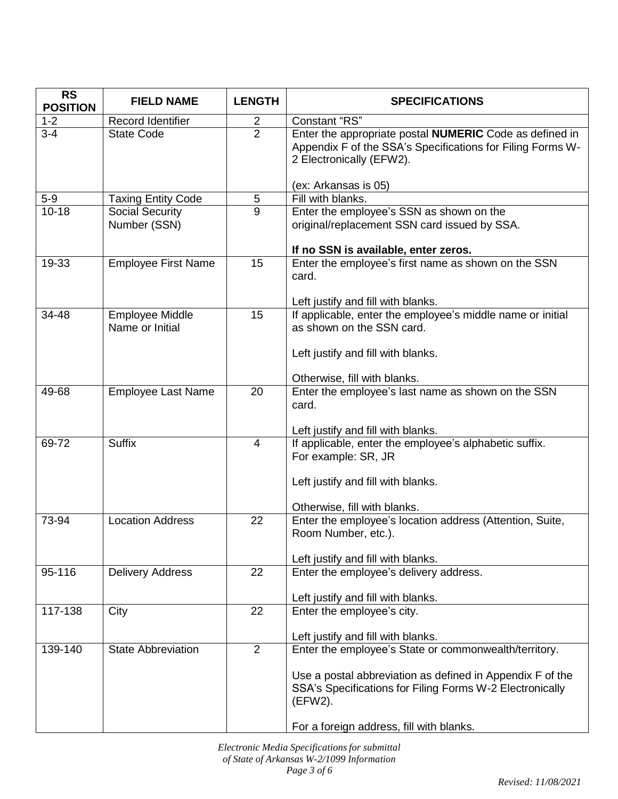| <b>RS</b><br><b>POSITION</b> | <b>FIELD NAME</b>                         | <b>LENGTH</b>  | <b>SPECIFICATIONS</b>                                                                                                                                                                                                                 |
|------------------------------|-------------------------------------------|----------------|---------------------------------------------------------------------------------------------------------------------------------------------------------------------------------------------------------------------------------------|
| $1 - 2$                      | Record Identifier                         | $\overline{2}$ | Constant "RS"                                                                                                                                                                                                                         |
| $3 - 4$                      | <b>State Code</b>                         | $\overline{2}$ | Enter the appropriate postal NUMERIC Code as defined in<br>Appendix F of the SSA's Specifications for Filing Forms W-<br>2 Electronically (EFW2).                                                                                     |
|                              |                                           |                | (ex: Arkansas is 05)                                                                                                                                                                                                                  |
| $5-9$                        | <b>Taxing Entity Code</b>                 | 5              | Fill with blanks.                                                                                                                                                                                                                     |
| $10 - 18$                    | Social Security<br>Number (SSN)           | $\overline{9}$ | Enter the employee's SSN as shown on the<br>original/replacement SSN card issued by SSA.<br>If no SSN is available, enter zeros.                                                                                                      |
| 19-33                        | <b>Employee First Name</b>                | 15             | Enter the employee's first name as shown on the SSN<br>card.<br>Left justify and fill with blanks.                                                                                                                                    |
| 34-48                        | <b>Employee Middle</b><br>Name or Initial | 15             | If applicable, enter the employee's middle name or initial<br>as shown on the SSN card.<br>Left justify and fill with blanks.<br>Otherwise, fill with blanks.                                                                         |
| 49-68                        | <b>Employee Last Name</b>                 | 20             | Enter the employee's last name as shown on the SSN<br>card.<br>Left justify and fill with blanks.                                                                                                                                     |
| 69-72                        | <b>Suffix</b>                             | $\overline{4}$ | If applicable, enter the employee's alphabetic suffix.<br>For example: SR, JR<br>Left justify and fill with blanks.<br>Otherwise, fill with blanks.                                                                                   |
| 73-94                        | <b>Location Address</b>                   | 22             | Enter the employee's location address (Attention, Suite,<br>Room Number, etc.).<br>Left justify and fill with blanks.                                                                                                                 |
| 95-116                       | <b>Delivery Address</b>                   | 22             | Enter the employee's delivery address.<br>Left justify and fill with blanks.                                                                                                                                                          |
| 117-138                      | City                                      | 22             | Enter the employee's city.<br>Left justify and fill with blanks.                                                                                                                                                                      |
| 139-140                      | <b>State Abbreviation</b>                 | $\overline{2}$ | Enter the employee's State or commonwealth/territory.<br>Use a postal abbreviation as defined in Appendix F of the<br>SSA's Specifications for Filing Forms W-2 Electronically<br>(EFW2).<br>For a foreign address, fill with blanks. |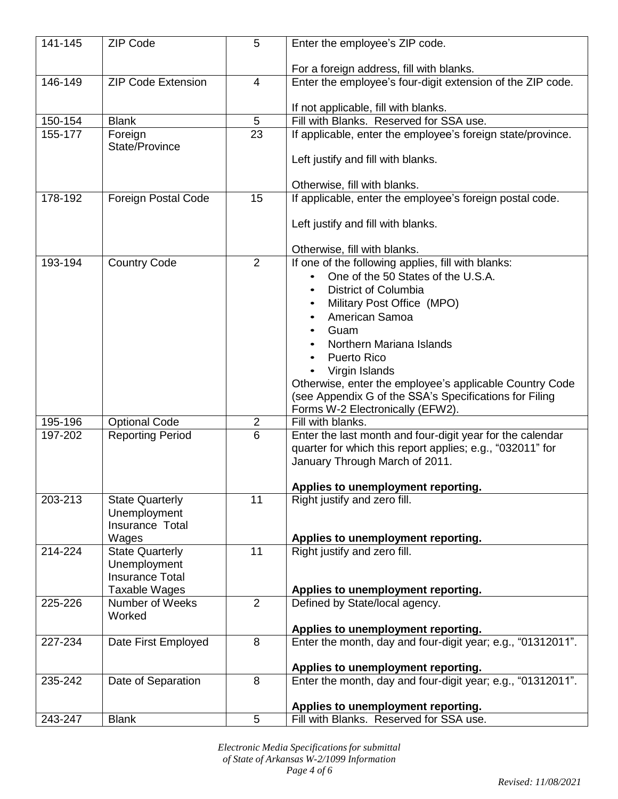| 141-145 | <b>ZIP Code</b>                                 | 5                                | Enter the employee's ZIP code.                                                           |
|---------|-------------------------------------------------|----------------------------------|------------------------------------------------------------------------------------------|
|         |                                                 |                                  | For a foreign address, fill with blanks.                                                 |
| 146-149 | <b>ZIP Code Extension</b>                       | 4                                | Enter the employee's four-digit extension of the ZIP code.                               |
|         |                                                 |                                  | If not applicable, fill with blanks.                                                     |
| 150-154 | <b>Blank</b>                                    | $\overline{5}$                   | Fill with Blanks. Reserved for SSA use.                                                  |
| 155-177 | Foreign<br>State/Province                       | 23                               | If applicable, enter the employee's foreign state/province.                              |
|         |                                                 |                                  | Left justify and fill with blanks.                                                       |
| 178-192 | <b>Foreign Postal Code</b>                      | 15                               | Otherwise, fill with blanks.<br>If applicable, enter the employee's foreign postal code. |
|         |                                                 |                                  | Left justify and fill with blanks.                                                       |
|         |                                                 |                                  | Otherwise, fill with blanks.                                                             |
| 193-194 | <b>Country Code</b>                             | $\overline{2}$                   | If one of the following applies, fill with blanks:                                       |
|         |                                                 |                                  | One of the 50 States of the U.S.A.                                                       |
|         |                                                 |                                  | <b>District of Columbia</b><br>$\bullet$                                                 |
|         |                                                 |                                  | Military Post Office (MPO)<br>$\bullet$                                                  |
|         |                                                 |                                  | American Samoa                                                                           |
|         |                                                 |                                  | Guam                                                                                     |
|         |                                                 |                                  | Northern Mariana Islands                                                                 |
|         |                                                 |                                  | <b>Puerto Rico</b>                                                                       |
|         |                                                 |                                  | Virgin Islands                                                                           |
|         |                                                 |                                  | Otherwise, enter the employee's applicable Country Code                                  |
|         |                                                 |                                  | (see Appendix G of the SSA's Specifications for Filing                                   |
| 195-196 |                                                 |                                  | Forms W-2 Electronically (EFW2).<br>Fill with blanks.                                    |
| 197-202 | <b>Optional Code</b><br><b>Reporting Period</b> | $\overline{c}$<br>$\overline{6}$ | Enter the last month and four-digit year for the calendar                                |
|         |                                                 |                                  | quarter for which this report applies; e.g., "032011" for                                |
|         |                                                 |                                  | January Through March of 2011.                                                           |
|         |                                                 |                                  |                                                                                          |
|         |                                                 |                                  | Applies to unemployment reporting.                                                       |
| 203-213 | <b>State Quarterly</b>                          | 11                               | Right justify and zero fill.                                                             |
|         | Unemployment                                    |                                  |                                                                                          |
|         | Insurance Total                                 |                                  |                                                                                          |
| 214-224 | Wages<br><b>State Quarterly</b>                 | 11                               | Applies to unemployment reporting.<br>Right justify and zero fill.                       |
|         | Unemployment                                    |                                  |                                                                                          |
|         | <b>Insurance Total</b>                          |                                  |                                                                                          |
|         | Taxable Wages                                   |                                  | Applies to unemployment reporting.                                                       |
| 225-226 | Number of Weeks                                 | $\overline{2}$                   | Defined by State/local agency.                                                           |
|         | Worked                                          |                                  |                                                                                          |
|         |                                                 |                                  | Applies to unemployment reporting.                                                       |
| 227-234 | Date First Employed                             | 8                                | Enter the month, day and four-digit year; e.g., "01312011".                              |
|         |                                                 |                                  | Applies to unemployment reporting.                                                       |
| 235-242 | Date of Separation                              | 8                                | Enter the month, day and four-digit year; e.g., "01312011".                              |
|         |                                                 |                                  | Applies to unemployment reporting.                                                       |
| 243-247 | <b>Blank</b>                                    | 5                                | Fill with Blanks. Reserved for SSA use.                                                  |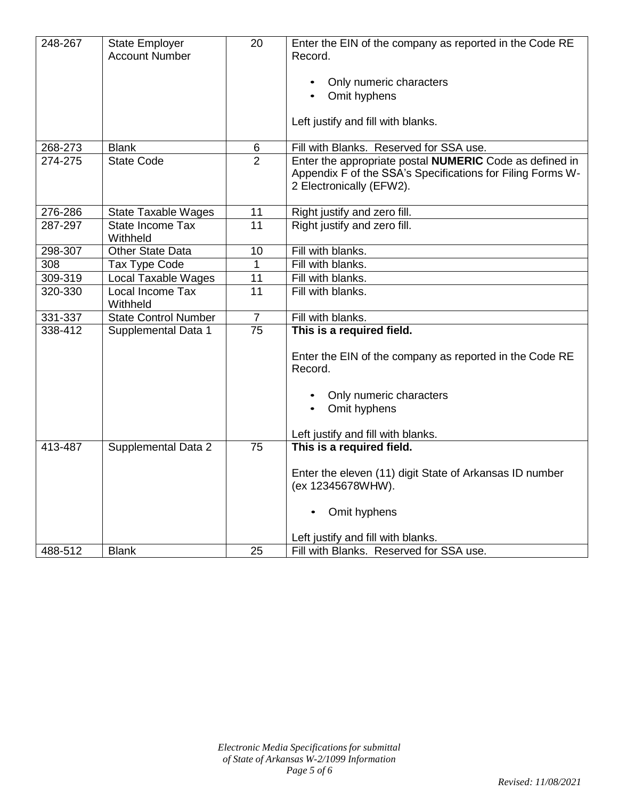| 248-267 | State Employer<br><b>Account Number</b> | 20              | Enter the EIN of the company as reported in the Code RE<br>Record.                                                                                |
|---------|-----------------------------------------|-----------------|---------------------------------------------------------------------------------------------------------------------------------------------------|
|         |                                         |                 |                                                                                                                                                   |
|         |                                         |                 | Only numeric characters                                                                                                                           |
|         |                                         |                 | Omit hyphens                                                                                                                                      |
|         |                                         |                 | Left justify and fill with blanks.                                                                                                                |
| 268-273 | <b>Blank</b>                            | 6               | Fill with Blanks. Reserved for SSA use.                                                                                                           |
| 274-275 | <b>State Code</b>                       | $\overline{2}$  | Enter the appropriate postal NUMERIC Code as defined in<br>Appendix F of the SSA's Specifications for Filing Forms W-<br>2 Electronically (EFW2). |
| 276-286 | <b>State Taxable Wages</b>              | 11              | Right justify and zero fill.                                                                                                                      |
| 287-297 | State Income Tax<br>Withheld            | 11              | Right justify and zero fill.                                                                                                                      |
| 298-307 | <b>Other State Data</b>                 | $\overline{10}$ | Fill with blanks.                                                                                                                                 |
| 308     | Tax Type Code                           | $\overline{1}$  | Fill with blanks.                                                                                                                                 |
| 309-319 | <b>Local Taxable Wages</b>              | 11              | Fill with blanks.                                                                                                                                 |
| 320-330 | Local Income Tax<br>Withheld            | 11              | Fill with blanks.                                                                                                                                 |
| 331-337 | <b>State Control Number</b>             | $\overline{7}$  | Fill with blanks.                                                                                                                                 |
| 338-412 | Supplemental Data 1                     | 75              | This is a required field.                                                                                                                         |
|         |                                         |                 | Enter the EIN of the company as reported in the Code RE<br>Record.                                                                                |
|         |                                         |                 | Only numeric characters                                                                                                                           |
|         |                                         |                 | Omit hyphens<br>$\bullet$                                                                                                                         |
|         |                                         |                 |                                                                                                                                                   |
|         |                                         |                 | Left justify and fill with blanks.                                                                                                                |
| 413-487 | <b>Supplemental Data 2</b>              | 75              | This is a required field.                                                                                                                         |
|         |                                         |                 |                                                                                                                                                   |
|         |                                         |                 | Enter the eleven (11) digit State of Arkansas ID number<br>(ex 12345678WHW).                                                                      |
|         |                                         |                 | Omit hyphens                                                                                                                                      |
|         |                                         |                 | Left justify and fill with blanks.                                                                                                                |
| 488-512 | <b>Blank</b>                            | 25              | Fill with Blanks. Reserved for SSA use.                                                                                                           |